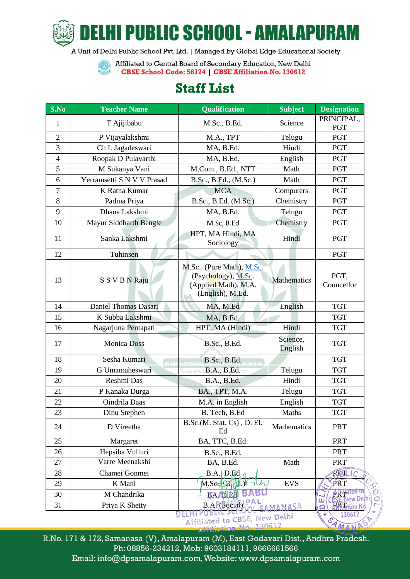

HI PUBLIC SCHOOL - AMALAPURA

A Unit of Delhi Public School Pvt. Ltd. | Managed by Global Edge Educational Society

Affiliated to Central Board of Secondary Education, New Delhi **Contract** CBSE School Code: 56174 | CBSE Affiliation No. 130612

## **Staff List**

| S.No                                                  | <b>Teacher Name</b>        | <b>Qualification</b>                                                                                | <b>Subject</b>      | <b>Designation</b>         |  |
|-------------------------------------------------------|----------------------------|-----------------------------------------------------------------------------------------------------|---------------------|----------------------------|--|
| 1                                                     | T Ajijibabu                | M.Sc., B.Ed.                                                                                        | Science             | PRINCIPAL,                 |  |
|                                                       |                            |                                                                                                     |                     | <b>PGT</b>                 |  |
| $\overline{2}$                                        | P Vijayalakshmi            | M.A., TPT                                                                                           | Telugu              | <b>PGT</b>                 |  |
| 3                                                     | Ch L Jagadeswari           | MA, B.Ed.                                                                                           | Hindi               | <b>PGT</b>                 |  |
| $\overline{4}$                                        | Roopak D Pulavarthi        | MA, B.Ed.                                                                                           | English             | PGT                        |  |
| 5                                                     | M Sukanya Vani             | M.Com., B.Ed., NTT                                                                                  | Math                | <b>PGT</b>                 |  |
| 6                                                     | Yerramsetti S N V V Prasad | B.Sc., B.Ed., (M.Sc.)                                                                               | Math                | <b>PGT</b>                 |  |
| 7                                                     | K Ratna Kumar              | <b>MCA</b>                                                                                          | Computers           | <b>PGT</b>                 |  |
| 8                                                     | Padma Priya                | B.Sc., B.Ed. (M.Sc.)                                                                                | Chemistry           | <b>PGT</b>                 |  |
| 9                                                     | Dhana Lakshmi              | MA, B.Ed.                                                                                           | Telugu              | PGT                        |  |
| 10                                                    | Mayur Siddharth Bengle     | M.Sc, B.Ed                                                                                          | Chemistry           | <b>PGT</b>                 |  |
| 11                                                    | Sanka Lakshmi              | HPT, MA Hindi, MA<br>Sociology                                                                      | Hindi               | <b>PGT</b>                 |  |
| 12                                                    | Tuhinsen                   |                                                                                                     |                     | <b>PGT</b>                 |  |
| 13                                                    | S S V B N Raju             | M.Sc. (Pure Math), M.Sc.<br>(Psychology), M.Sc.<br>(Applied Math), M.A.<br>(English), M.Ed.         | <b>Mathematics</b>  | PGT,<br>Councellor         |  |
| 14                                                    | Daniel Thomas Dasari       | MA, M.Ed                                                                                            | English             | <b>TGT</b>                 |  |
| 15                                                    | K Subba Lakshmi            | MA, B.Ed.                                                                                           |                     | <b>TGT</b>                 |  |
| 16                                                    | Nagarjuna Pentapati        | HPT, MA (Hindi)                                                                                     | Hindi               | <b>TGT</b>                 |  |
| 17                                                    | <b>Monica Doss</b>         | <b>B.Sc., B.Ed.</b>                                                                                 | Science,<br>English | <b>TGT</b>                 |  |
| 18                                                    | Sesha Kumari               | B.Sc., B.Ed.                                                                                        |                     | <b>TGT</b>                 |  |
| 19                                                    | G Umamaheswari             | A Unit of Delh $\mathbf{B}$ , $\mathbf{A}$ , $_{\text{th}}\mathbf{B}$ , $\mathbf{E}\mathbf{d}$ , to | Telugu              | <b>TGT</b>                 |  |
| 20                                                    | Reshmi Das                 | B.A., B.Ed.                                                                                         | Hindi               | <b>TGT</b>                 |  |
| 21                                                    | P Kanaka Durga             | BA., TPT, M.A.                                                                                      | Telugu              | <b>TGT</b>                 |  |
| 22                                                    | Oindrila Daas              | M.A. in English                                                                                     | English             | <b>TGT</b>                 |  |
| 23                                                    | Dinu Stephen               | B. Tech, B.Ed                                                                                       | Maths               | <b>TGT</b>                 |  |
| 24                                                    | D Vireetha                 | B.Sc.(M. Stat. Cs), D. El.<br>Ed                                                                    | Mathematics         | PRT                        |  |
| 25                                                    | Margaret                   | BA, TTC, B.Ed.                                                                                      |                     | <b>PRT</b>                 |  |
| 26                                                    | Hepsiba Vulluri            | B.Sc., B.Ed.                                                                                        |                     | <b>PRT</b>                 |  |
| 27                                                    | Varre Meenakshi            | BA, B.Ed.                                                                                           | Math                | <b>PRT</b>                 |  |
| 28                                                    | Chamei Gonmei              | $B.A.$ $D.Fd$                                                                                       |                     | RESILIC                    |  |
| 29                                                    | K Mani                     | M.Sc. BH                                                                                            | <b>EVS</b>          | PRT                        |  |
| 30                                                    | M Chandrika                | <b>BAAAEH</b>                                                                                       |                     | <b>Affiliate</b><br>O<br>O |  |
| 31                                                    | Priya K Shetty             | <b>B.A. (Social)</b>                                                                                | CAMANASA            | <b>PRT</b>                 |  |
| ELHIPUBLIC<br>Affiliated to CBSE, New Delhi<br>120612 |                            |                                                                                                     |                     |                            |  |

R.No. 171 & 172, Samanasa (V), Amalapuram (M), East Godavari Dist., Andhra Pradesh. Ph: 08856-234212, Mob: 9603184111, 9666661566 Email: info@dpsamalapuram.com, Website: www.dpsamalapuram.com